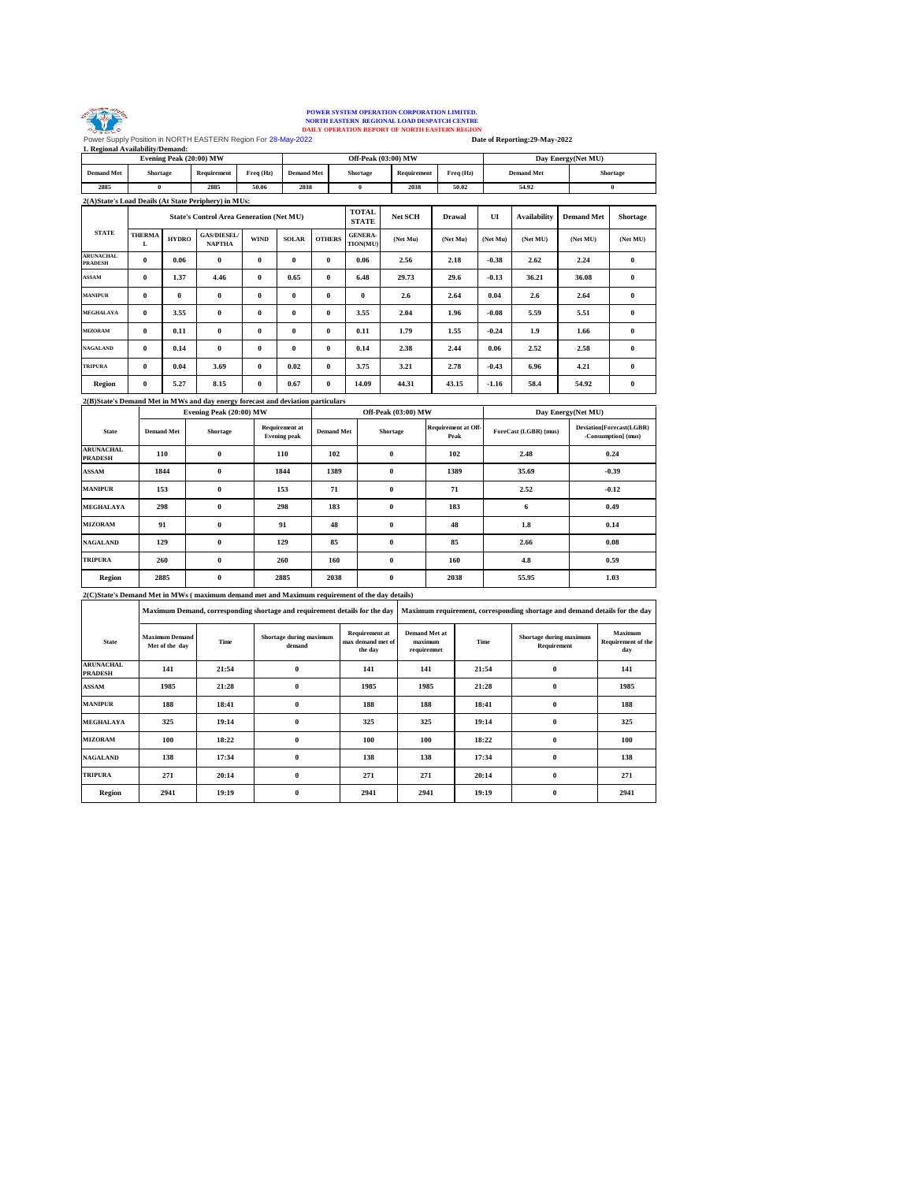

## **EXAMPLE SERVE AND READ FOR SERVER STRUCK AND AN INCREMENTAL OR OPPRATION CORPORATION LIMITED.**<br>
NORTH EASTERN REGIONAL LOAD DESPATCH CENTRE<br>
POWER SUGNALLY OPERATION REPORT OF NORTH EASTERN REGION<br>
1. Regional Availabilit

**50.02 54.92 0 Freq (Hz) Demand Met Shortage 2885 0 2885 50.06 2038 0 2038 Evening Peak (20:00) MW Off-Peak (03:00) MW Day Energy(Net MU) Demand Met Shortage Requirement Freq (Hz) Demand Met Shortage Requirement**

|                                    |                    |              | 2(A)State's Load Deails (At State Periphery) in MUs:                            |             |              |               |                            |                |          |          |                     |                   |                 |
|------------------------------------|--------------------|--------------|---------------------------------------------------------------------------------|-------------|--------------|---------------|----------------------------|----------------|----------|----------|---------------------|-------------------|-----------------|
|                                    |                    |              | <b>State's Control Area Generation (Net MU)</b>                                 |             |              |               | TOTAL<br><b>STATE</b>      | <b>Net SCH</b> | Drawal   | UI       | <b>Availability</b> | <b>Demand Met</b> | <b>Shortage</b> |
| <b>STATE</b>                       | <b>THERMA</b><br>L | <b>HYDRO</b> | <b>GAS/DIESEL/</b><br><b>NAPTHA</b>                                             | <b>WIND</b> | <b>SOLAR</b> | <b>OTHERS</b> | <b>GENERA-</b><br>TION(MU) | (Net Mu)       | (Net Mu) | (Net Mu) | (Net MU)            | (Net MU)          | (Net MU)        |
| <b>ARUNACHAL</b><br><b>PRADESH</b> | $\bf{0}$           | 0.06         | $\bf{0}$                                                                        | $\bf{0}$    | $\bf{0}$     | $\bf{0}$      | 0.06                       | 2.56           | 2.18     | $-0.38$  | 2.62                | 2.24              | $\bf{0}$        |
| <b>ASSAM</b>                       | $\bf{0}$           | 1.37         | 4.46                                                                            | $\bf{0}$    | 0.65         | $\bf{0}$      | 6.48                       | 29.73          | 29.6     | $-0.13$  | 36.21               | 36.08             | $\bf{0}$        |
| <b>MANIPUR</b>                     | $\bf{0}$           | $\bf{0}$     | $\bf{0}$                                                                        | $\bf{0}$    | $\theta$     | $\bf{0}$      | $\bf{0}$                   | 2.6            | 2.64     | 0.04     | 2.6                 | 2.64              | $\bf{0}$        |
| <b>MEGHALAYA</b>                   | $\bf{0}$           | 3.55         | $\bf{0}$                                                                        | $\bf{0}$    | $\theta$     | $\bf{0}$      | 3.55                       | 2.04           | 1.96     | $-0.08$  | 5.59                | 5.51              | $\theta$        |
| <b>MIZORAM</b>                     | $\bf{0}$           | 0.11         | $\bf{0}$                                                                        | $\bf{0}$    | $\theta$     | $\bf{0}$      | 0.11                       | 1.79           | 1.55     | $-0.24$  | 1.9                 | 1.66              | $\bf{0}$        |
| <b>NAGALAND</b>                    | $\bf{0}$           | 0.14         | $\bf{0}$                                                                        | $\bf{0}$    | $\bf{0}$     | $\bf{0}$      | 0.14                       | 2.38           | 2.44     | 0.06     | 2.52                | 2.58              | $\bf{0}$        |
| <b>TRIPURA</b>                     | $\bf{0}$           | 0.04         | 3.69                                                                            | $\bf{0}$    | 0.02         | $\bf{0}$      | 3.75                       | 3.21           | 2.78     | $-0.43$  | 6.96                | 4.21              | $\bf{0}$        |
| Region                             | $\bf{0}$           | 5.27         | 8.15                                                                            | $\bf{0}$    | 0.67         | $\bf{0}$      | 14.09                      | 44.31          | 43.15    | $-1.16$  | 58.4                | 54.92             | $\bf{0}$        |
|                                    |                    |              | 2(R)State's Demand Met in MWs and day energy forecast and deviation particulars |             |              |               |                            |                |          |          |                     |                   |                 |

|                                    |                   | Evening Peak (20:00) MW |                                              |                   | <b>Off-Peak (03:00) MW</b> |                             | Day Energy(Net MU)    |                                                 |  |  |
|------------------------------------|-------------------|-------------------------|----------------------------------------------|-------------------|----------------------------|-----------------------------|-----------------------|-------------------------------------------------|--|--|
| <b>State</b>                       | <b>Demand Met</b> | <b>Shortage</b>         | <b>Requirement at</b><br><b>Evening peak</b> | <b>Demand Met</b> | <b>Shortage</b>            | Requirement at Off-<br>Peak | ForeCast (LGBR) (mus) | Deviation[Forecast(LGBR)<br>-Consumption] (mus) |  |  |
| <b>ARUNACHAL</b><br><b>PRADESH</b> | 110               | $\bf{0}$                | 110                                          | 102               | $\bf{0}$                   | 102                         | 2.48                  | 0.24                                            |  |  |
| <b>ASSAM</b>                       | 1844              | $\bf{0}$                | 1844                                         | 1389              | $\bf{0}$                   | 1389                        | 35.69                 | $-0.39$                                         |  |  |
| <b>MANIPUR</b>                     | 153               | $\bf{0}$                | 153                                          | 71                | $\bf{0}$                   | 71                          | 2.52                  | $-0.12$                                         |  |  |
| <b>MEGHALAYA</b>                   | 298               | $\bf{0}$                | 298                                          | 183               | $\bf{0}$                   | 183                         | 6                     | 0.49                                            |  |  |
| <b>MIZORAM</b>                     | 91                | $\bf{0}$                | 91                                           | 48                | $\bf{0}$                   | 48                          | 1.8                   | 0.14                                            |  |  |
| <b>NAGALAND</b>                    | 129               | $\bf{0}$                | 129                                          | 85                | $\bf{0}$                   | 85                          | 2.66                  | 0.08                                            |  |  |
| <b>TRIPURA</b>                     | 260               | $\bf{0}$                | 260                                          | 160               | $\bf{0}$                   | 160                         | 4.8                   | 0.59                                            |  |  |
| Region                             | 2885              | $\bf{0}$                | 2885                                         | 2038              | $\bf{0}$                   | 2038                        | 55.95                 | 1.03                                            |  |  |

**2(C)State's Demand Met in MWs ( maximum demand met and Maximum requirement of the day details)**

|                                    |                                         |       | Maximum Demand, corresponding shortage and requirement details for the day |                                                       | Maximum requirement, corresponding shortage and demand details for the day |       |                                        |                                      |  |  |  |  |
|------------------------------------|-----------------------------------------|-------|----------------------------------------------------------------------------|-------------------------------------------------------|----------------------------------------------------------------------------|-------|----------------------------------------|--------------------------------------|--|--|--|--|
| <b>State</b>                       | <b>Maximum Demand</b><br>Met of the day | Time  | Shortage during maximum<br>demand                                          | <b>Requirement at</b><br>max demand met of<br>the day | <b>Demand Met at</b><br>maximum<br>requiremnet                             | Time  | Shortage during maximum<br>Requirement | Maximum<br>Requirement of the<br>day |  |  |  |  |
| <b>ARUNACHAL</b><br><b>PRADESH</b> | 141                                     | 21:54 | $\bf{0}$                                                                   | 141                                                   | 141                                                                        | 21:54 | $\theta$                               | 141                                  |  |  |  |  |
| ASSAM                              | 1985                                    | 21:28 | $\bf{0}$                                                                   | 1985                                                  | 1985                                                                       | 21:28 | $\theta$                               | 1985                                 |  |  |  |  |
| <b>MANIPUR</b>                     | 188                                     | 18:41 | $\bf{0}$                                                                   | 188                                                   | 188                                                                        | 18:41 | $\theta$                               | 188                                  |  |  |  |  |
| <b>MEGHALAYA</b>                   | 325                                     | 19:14 | $\bf{0}$                                                                   | 325                                                   | 325                                                                        | 19:14 | $\mathbf{0}$                           | 325                                  |  |  |  |  |
| <b>MIZORAM</b>                     | 100                                     | 18:22 | $\bf{0}$                                                                   | 100                                                   | 100                                                                        | 18:22 | $\theta$                               | 100                                  |  |  |  |  |
| <b>NAGALAND</b>                    | 138                                     | 17:34 | $\bf{0}$                                                                   | 138                                                   | 138                                                                        | 17:34 | $\theta$                               | 138                                  |  |  |  |  |
| <b>TRIPURA</b>                     | 271                                     | 20:14 | $\bf{0}$                                                                   | 271                                                   | 271                                                                        | 20:14 | $\theta$                               | 271                                  |  |  |  |  |
| <b>Region</b>                      | 2941                                    | 19:19 | $\bf{0}$                                                                   | 2941                                                  | 2941                                                                       | 19:19 | $\bf{0}$                               | 2941                                 |  |  |  |  |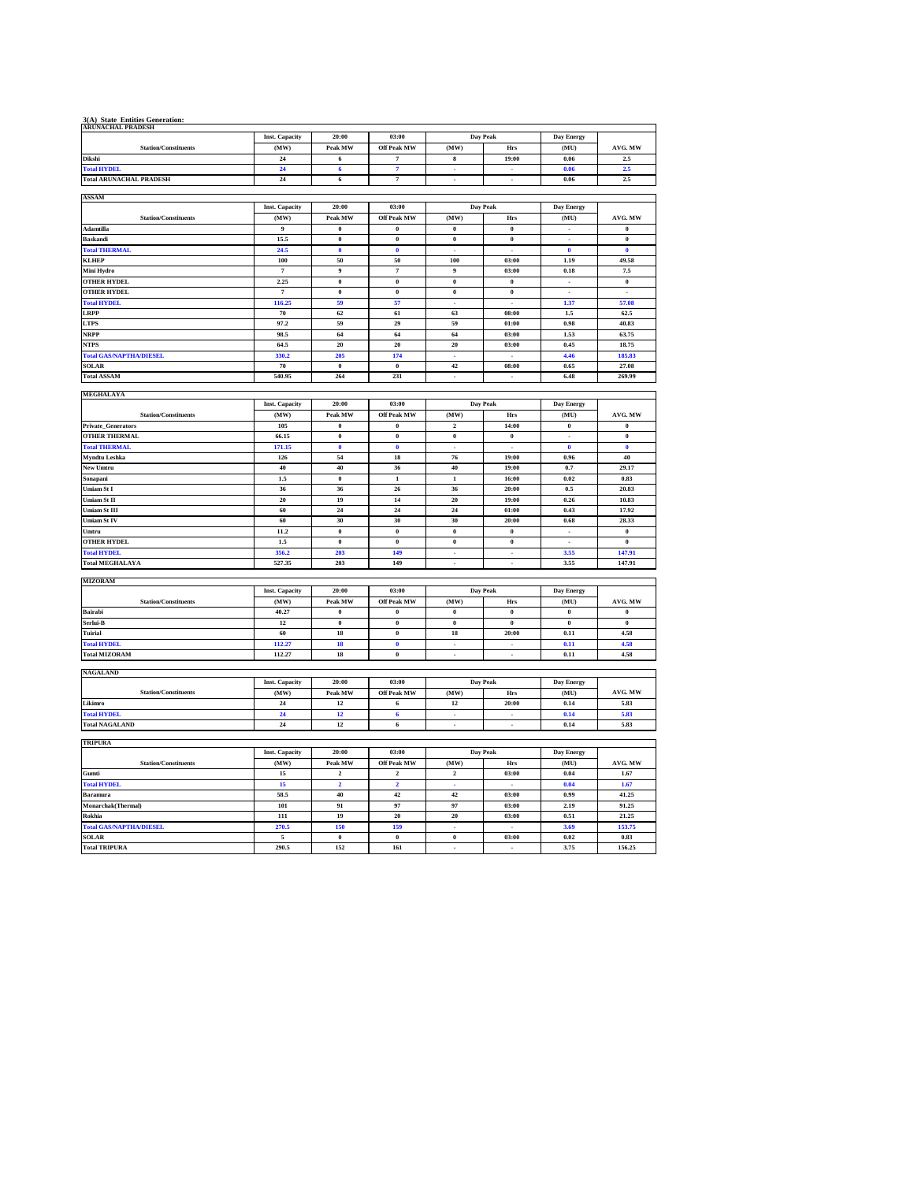| 3(A) State Entities Generation:<br>ARUNACHAL PRADESH |                               |                         |                             |                         |                          |                          |                           |
|------------------------------------------------------|-------------------------------|-------------------------|-----------------------------|-------------------------|--------------------------|--------------------------|---------------------------|
|                                                      | <b>Inst. Capacity</b>         | 20:00                   | 03:00                       |                         | Day Peak                 | Day Energy               |                           |
| <b>Station/Constituents</b>                          | (MW)                          | Peak MW                 | <b>Off Peak MW</b>          | (MW)                    | Hrs                      | (MU)                     | AVG. MW                   |
| Dikshi                                               | $\bf{24}$                     | 6                       | $\scriptstyle\rm 7$         | $\bf8$                  | 19:00                    | 0.06                     | 2.5                       |
| <b>Total HYDEL</b>                                   | 24                            | $\overline{\mathbf{6}}$ | $\overline{7}$              | ÷                       |                          | 0.06                     | 2.5                       |
| <b>Total ARUNACHAL PRADESH</b>                       | 24                            | 6                       | $\overline{7}$              | $\sim$                  | $\overline{\phantom{a}}$ | 0.06                     | $2.5\,$                   |
|                                                      |                               |                         |                             |                         |                          |                          |                           |
| ASSAM                                                |                               |                         | 03:00                       |                         |                          |                          |                           |
| <b>Station/Constituents</b>                          | <b>Inst. Capacity</b>         | 20:00                   |                             |                         | Day Peak<br>Hrs          | Day Energy               | AVG. MW                   |
| Adamtilla                                            | (MW)<br>$\boldsymbol{9}$      | Peak MW<br>$\bf{0}$     | Off Peak MW<br>$\bf{0}$     | (MW)<br>$\bf{0}$        | $\bf{0}$                 | (MU)<br>$\mathbf{r}$     | $\bf{0}$                  |
| <b>Baskandi</b>                                      | 15.5                          | $\bf{0}$                | $\bf{0}$                    | $\pmb{0}$               | $\bf{0}$                 | $\overline{a}$           | $\bf{0}$                  |
| <b>Total THERMAL</b>                                 | 24.5                          | $\overline{\mathbf{0}}$ | $\overline{\mathbf{0}}$     |                         |                          | $\overline{\mathbf{0}}$  | $\overline{\mathbf{0}}$   |
| <b>KLHEP</b>                                         | 100                           | 50                      | 50                          | 100                     | 03:00                    | 1.19                     | 49.58                     |
| Mini Hydro                                           | $\scriptstyle\rm 7$           | 9                       | $\scriptstyle\rm 7$         | 9                       | 03:00                    | 0.18                     | 7.5                       |
| <b>OTHER HYDEL</b>                                   | 2.25                          | $\overline{\mathbf{0}}$ | $\overline{\mathbf{0}}$     | $\overline{\mathbf{0}}$ | $\overline{\mathbf{0}}$  | $\overline{a}$           | $\bf{0}$                  |
| <b>OTHER HYDEL</b>                                   | $\overline{7}$                | $\theta$                | $\theta$                    | $\bf{0}$                | $\bf{0}$                 | $\overline{\phantom{a}}$ | $\cdot$                   |
| <b>Total HYDEL</b>                                   | 116.25                        | 59                      | 57                          | L.                      | L.                       | 1.37                     | 57.08                     |
| LRPP                                                 | 70                            | 62                      | 61                          | 63                      | 08:00                    | 1.5                      | 62.5                      |
| <b>LTPS</b>                                          | 97.2                          | 59                      | 29                          | 59                      | 01:00                    | 0.98                     | 40.83                     |
| NRPP                                                 | 98.5                          | 64                      | 64                          | 64                      | 03:00                    | 1.53                     | 63.75                     |
| <b>NTPS</b>                                          | 64.5                          | 20                      | 20                          | 20                      | 03:00                    | 0.45                     | 18.75                     |
| <b>Total GAS/NAPTHA/DIESEL</b>                       | 330.2                         | 205                     | 174                         | ÷.                      | $\sim$                   | 4.46                     | 185.83                    |
| <b>SOLAR</b>                                         | 70                            | $\theta$                | $\bf{0}$                    | 42                      | 08:00                    | 0.65                     | 27.08                     |
| <b>Total ASSAM</b>                                   | 540.95                        | 264                     | 231                         | $\overline{a}$          |                          | 6.48                     | 269.99                    |
| MEGHALAYA                                            |                               |                         |                             |                         |                          |                          |                           |
|                                                      | <b>Inst. Capacity</b>         | 20:00                   | 03:00                       |                         | <b>Day Peak</b>          | Day Energy               |                           |
| <b>Station/Constituents</b>                          | (MW)                          | Peak MW                 | Off Peak MW                 | (MW)                    | Hrs                      | (MU)                     | AVG. MW                   |
| Private_Generators                                   | 105                           | $\bf{0}$                | $\theta$                    | $\mathbf 2$             | 14:00                    | $\boldsymbol{0}$         | $\boldsymbol{0}$          |
| <b>OTHER THERMAL</b>                                 | 66.15                         | $\bf{0}$                | $\bf{0}$                    | $\pmb{0}$               | $\bf{0}$                 | $\overline{a}$           | $\bf{0}$                  |
| <b>Total THERMAL</b>                                 | 171.15                        | $\bf{0}$                | $\ddot{\mathbf{0}}$         |                         |                          | $\mathbf{0}$             | $\bf{0}$                  |
| Myndtu Leshka                                        | 126                           | 54                      | 18                          | 76                      | 19:00                    | 0.96                     | 40                        |
| New Umtru                                            | 40                            | 40                      | 36                          | 40                      | 19:00                    | 0.7                      | 29.17                     |
| Sonapani                                             | 1.5                           | $\bf{0}$                | $\,$ 1                      | $\mathbf{1}$            | 16:00                    | 0.02                     | 0.83                      |
| Umiam St I                                           | 36                            | 36                      | 26                          | 36                      | 20:00                    | 0.5                      | 20.83                     |
| Umiam St II                                          | 20                            | 19                      | 14                          | $\overline{20}$         | 19:00                    | 0.26                     | 10.83                     |
| Umiam St III<br>Umiam St IV                          | 60<br>60                      | $\bf{24}$<br>30         | $\bf{24}$<br>30             | 24<br>30                | 01:00<br>20:00           | 0.43<br>0.68             | 17.92<br>28.33            |
| Umtru                                                | 11.2                          | $\theta$                | $\pmb{0}$                   | $\mathbf{0}$            | $\mathbf 0$              | $\overline{\phantom{a}}$ | $\pmb{0}$                 |
| <b>OTHER HYDEL</b>                                   | $1.5\,$                       | $\pmb{0}$               | $\pmb{0}$                   | $\pmb{0}$               | $\pmb{0}$                | $\cdot$                  | $\pmb{0}$                 |
| <b>Total HYDEL</b>                                   | 356.2                         | 203                     | 149                         | L.                      | L.                       | 3.55                     | 147.91                    |
| <b>Total MEGHALAYA</b>                               | 527.35                        | 203                     | 149                         | $\mathcal{L}$           | $\cdot$                  | 3.55                     | 147.91                    |
|                                                      |                               |                         |                             |                         |                          |                          |                           |
| <b>MIZORAM</b>                                       |                               |                         |                             |                         |                          |                          |                           |
|                                                      | <b>Inst. Capacity</b><br>(MW) | 20:00<br>Peak MW        | 03:00<br><b>Off Peak MW</b> | (MW)                    | Day Peak                 | Day Energy<br>(MU)       |                           |
| <b>Station/Constituents</b><br>Bairabi               | 40.27                         | $\theta$                | $\theta$                    | $\theta$                | Hrs<br>$\theta$          | $\theta$                 | AVG. MW<br>$\overline{0}$ |
| Serlui-B                                             | $12\,$                        | $\pmb{0}$               | $\pmb{0}$                   | $\pmb{0}$               | $\boldsymbol{0}$         | $\pmb{0}$                | $\pmb{0}$                 |
| Tuirial                                              | 60                            | 18                      | $\boldsymbol{0}$            | 18                      | 20:00                    | 0.11                     | 4.58                      |
| <b>Total HYDEL</b>                                   | 112.27                        | 18                      | $\bf{0}$                    | ÷.                      | ÷.                       | 0.11                     | 4.58                      |
| <b>Total MIZORAM</b>                                 | 112.27                        | 18                      | $\pmb{0}$                   | $\Box$                  | $\overline{\phantom{a}}$ | 0.11                     | 4.58                      |
|                                                      |                               |                         |                             |                         |                          |                          |                           |
| <b>NAGALAND</b>                                      |                               |                         |                             |                         |                          |                          |                           |
|                                                      | <b>Inst. Capacity</b>         | 20:00                   | 03:00<br><b>Off Peak MW</b> | (MW)                    | <b>Day Peak</b>          | Day Energy               |                           |
| <b>Station/Constituents</b>                          | (MW)<br>24                    | Peak MW<br>12           | 6                           | 12                      | Hrs                      | (MU)                     | AVG. MW<br>5.83           |
| Likimro<br><b>Total HYDEL</b>                        | 24                            | 12                      | $\boldsymbol{6}$            | ä,                      | 20:00                    | 0.14<br>0.14             | 5.83                      |
| <b>Total NAGALAND</b>                                | 24                            | 12                      | $6\phantom{1}6$             | L.                      | $\overline{a}$           | 0.14                     | 5.83                      |
|                                                      |                               |                         |                             |                         |                          |                          |                           |
| <b>TRIPURA</b>                                       |                               |                         |                             |                         |                          |                          |                           |
|                                                      | <b>Inst. Capacity</b>         | 20:00                   | 03:00                       |                         | Day Peak                 | Day Energy               |                           |
| <b>Station/Constituents</b>                          | (MW)                          | Peak MW                 | <b>Off Peak MW</b>          | (MW)                    | Hrs                      | (MU)                     | AVG. MW                   |
| Gumti                                                | 15                            | $\overline{2}$          | $\mathcal{L}$               | $\overline{2}$          | 03:00                    | 0.04                     | 1.67                      |
| <b>Total HYDEL</b>                                   | 15                            | $\overline{\mathbf{2}}$ | $\overline{2}$              |                         |                          | 0.04                     | 1.67                      |
| Baramura                                             | 58.5                          | 40                      | 42                          | 42                      | 03:00                    | 0.99                     | 41.25                     |
| Monarchak(Thermal)                                   | 101                           | 91<br>19                | 97                          | 97                      | 03:00                    | 2.19                     | 91.25                     |
| Rokhia<br><b>Total GAS/NAPTHA/DIESEL</b>             | 111<br>270.5                  | 150                     | 20<br>159                   | 20                      | 03:00                    | 0.51<br>3.69             | 21.25<br>153.75           |
| SOLAR                                                | $\overline{\phantom{a}}$      | $\overline{0}$          | $\overline{0}$              | $\overline{0}$          | 03:00                    | 0.02                     | 0.83                      |
| <b>Death Continue</b>                                | oo.                           |                         |                             |                         |                          |                          |                           |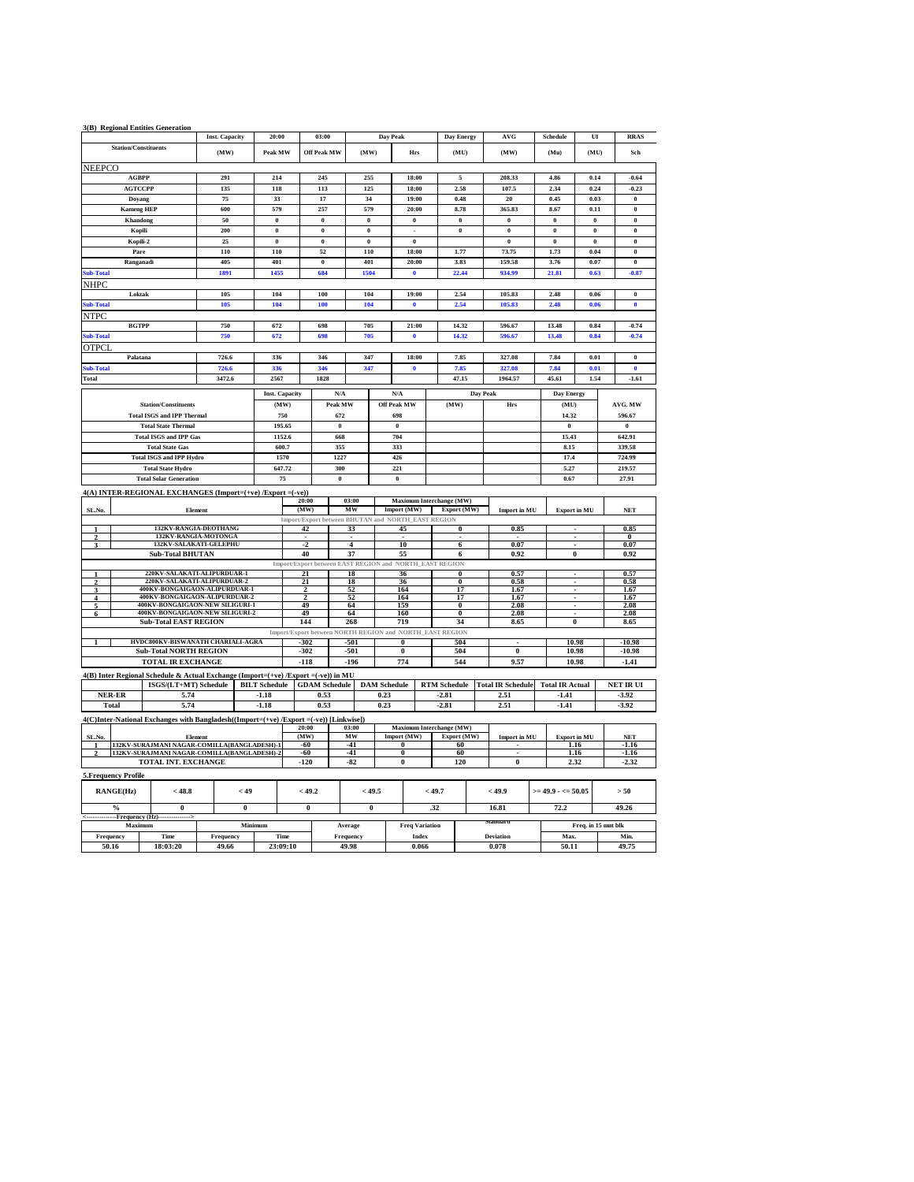|                          |                                                | 3(B) Regional Entities Generation                                                                           |                       |                      |                       |                      |                         |                         |                                                                          |                     |                         |                          |                                |                     |                  |
|--------------------------|------------------------------------------------|-------------------------------------------------------------------------------------------------------------|-----------------------|----------------------|-----------------------|----------------------|-------------------------|-------------------------|--------------------------------------------------------------------------|---------------------|-------------------------|--------------------------|--------------------------------|---------------------|------------------|
|                          |                                                |                                                                                                             | <b>Inst. Capacity</b> |                      | 20:00                 |                      | 03:00                   |                         | Day Peak                                                                 |                     | <b>Day Energy</b>       | AVG                      | Schedule                       | UI                  | <b>RRAS</b>      |
|                          | <b>Station/Constituents</b>                    |                                                                                                             | (MW)                  |                      | Peak MW               |                      | <b>Off Peak MW</b>      | (MW)                    | Hrs                                                                      |                     | (MU)                    | (MW)                     | (Mu)                           | (MU)                | Sch              |
| <b>NEEPCO</b>            |                                                |                                                                                                             |                       |                      |                       |                      |                         |                         |                                                                          |                     |                         |                          |                                |                     |                  |
|                          | <b>AGBPP</b>                                   |                                                                                                             | 291                   |                      | 214                   |                      | 245                     | 255                     | 18:00                                                                    |                     | $\mathbf{5}$            | 208.33                   | 4.86                           | 0.14                | $-0.64$          |
|                          | <b>AGTCCPP</b>                                 |                                                                                                             | 135                   |                      | 118                   |                      | 113                     | 125                     | 18:00                                                                    |                     | 2.58                    | 107.5                    | 2.34                           | 0.24                | $-0.23$          |
|                          | Doyang                                         |                                                                                                             | 75                    |                      | 33                    |                      | 17                      | 34                      | 19:00                                                                    |                     | 0.48                    | 20                       | 0.45                           | 0.03                | $\pmb{0}$        |
|                          | <b>Kameng HEP</b>                              |                                                                                                             | 600                   |                      | 579                   |                      | 257                     | 579                     | 20:00                                                                    |                     | 8.78                    | 365.83                   | 8.67                           | 0.11                | $\bf{0}$         |
|                          | Khandong                                       |                                                                                                             | 50                    |                      | $\theta$              |                      | $\theta$                | $\bf{0}$                | $\bf{0}$                                                                 |                     | $\bf{0}$                | $\bf{0}$                 | $\bf{0}$                       | $\bf{0}$            | $\bf{0}$         |
|                          | Kopili                                         |                                                                                                             | 200                   |                      | $\bf{0}$              |                      | $\overline{\mathbf{0}}$ | $\overline{\mathbf{0}}$ | $\overline{a}$                                                           |                     | $\bf{0}$                | $\overline{\mathbf{0}}$  | $\bf{0}$                       | $\bf{0}$            | $\bf{0}$         |
|                          | Kopili-2                                       |                                                                                                             | 25                    |                      | $\overline{0}$        |                      | $\overline{0}$          | $\overline{0}$          | $\overline{0}$                                                           |                     |                         | $\overline{0}$           | $\overline{0}$                 | $\overline{0}$      | $\overline{0}$   |
|                          | Pare                                           |                                                                                                             | 110                   |                      | 110                   |                      | 52                      | 110                     | 18:00                                                                    |                     | 1.77                    | 73.75                    | 1.73                           | 0.04                | $\bf{0}$         |
|                          | Ranganadi                                      |                                                                                                             | 405                   |                      | 401                   |                      | $\pmb{0}$               | 401                     | 20:00                                                                    |                     | 3.83                    | 159.58                   | 3.76                           | 0.07                | $\pmb{0}$        |
| Sub-Total                |                                                |                                                                                                             | 1891                  |                      | 1455                  |                      | 684                     | 1504                    | $\ddot{\mathbf{0}}$                                                      |                     | 22.44                   | 934.99                   | 21.81                          | 0.63                | $-0.87$          |
| <b>NHPC</b>              |                                                |                                                                                                             |                       |                      |                       |                      |                         |                         |                                                                          |                     |                         |                          |                                |                     |                  |
|                          | Loktak                                         |                                                                                                             | 105                   |                      | 104                   |                      | 100                     | 104                     | 19:00                                                                    |                     | 2.54                    | 105.83                   | 2.48                           | 0.06                | $\bf{0}$         |
| Sub-Total                |                                                |                                                                                                             | 105                   |                      | 104                   |                      | 100                     | 104                     | $\ddot{\mathbf{0}}$                                                      |                     | 2.54                    | 105.83                   | 2.48                           | 0.06                | $\bf{0}$         |
| <b>NTPC</b>              |                                                |                                                                                                             |                       |                      |                       |                      |                         |                         |                                                                          |                     |                         |                          |                                |                     |                  |
|                          | <b>BGTPP</b>                                   |                                                                                                             | 750                   |                      | 672                   |                      | 698                     | 705                     | 21:00                                                                    |                     | 14.32                   | 596.67                   | 13.48                          | 0.84                | $-0.74$          |
| Sub-Total                |                                                |                                                                                                             | 750                   |                      | 672                   |                      | 698                     | 705                     | 0                                                                        |                     | 14.32                   | 596.67                   | 13.48                          | 0.84                | $-0.74$          |
| <b>OTPCI</b>             |                                                |                                                                                                             |                       |                      |                       |                      |                         |                         |                                                                          |                     |                         |                          |                                |                     |                  |
|                          | Palatana                                       |                                                                                                             | 726.6                 |                      | 336                   |                      | 346                     | 347                     | 18:00                                                                    |                     | 7.85                    | 327.08                   | 7.84                           | 0.01                | $\bf{0}$         |
| Sub-Total                |                                                |                                                                                                             | 726.6                 |                      | 336                   |                      | 346                     | 347                     | $\ddot{\mathbf{0}}$                                                      |                     | 7.85                    | 327.08                   | 7.84                           | 0.01                | $\mathbf{0}$     |
| Total                    |                                                |                                                                                                             | 3472.6                |                      | 2567                  |                      | 1828                    |                         |                                                                          |                     | 47.15                   | 1964.57                  | 45.61                          | 1.54                | $-1.61$          |
|                          |                                                |                                                                                                             |                       |                      | <b>Inst. Capacity</b> |                      | N/A                     |                         | N/A                                                                      |                     | <b>Day Peak</b>         |                          | Day Energy                     |                     |                  |
|                          |                                                | <b>Station/Constituents</b>                                                                                 |                       |                      | (MW)                  |                      | Peak MW                 |                         | <b>Off Peak MW</b>                                                       |                     | (MW)                    | Hrs                      | (MU)                           |                     | AVG. MW          |
|                          |                                                | <b>Total ISGS and IPP Thermal</b>                                                                           |                       |                      | 750                   |                      | 672                     |                         | 698                                                                      |                     |                         |                          | 14.32                          |                     | 596.67           |
|                          |                                                | <b>Total State Thermal</b>                                                                                  |                       |                      | 195.65                |                      | $\pmb{0}$               |                         | $\bf{0}$                                                                 |                     |                         |                          | $\bf{0}$                       |                     | $\pmb{0}$        |
|                          |                                                | <b>Total ISGS and IPP Gas</b>                                                                               |                       |                      | 1152.6                | 668                  |                         |                         | 704                                                                      |                     |                         |                          | 15.43                          |                     | 642.91           |
|                          |                                                | <b>Total State Gas</b>                                                                                      |                       |                      | 600.7                 |                      | 355                     |                         | 333                                                                      |                     |                         |                          | 8.15                           |                     | 339.58           |
|                          |                                                | <b>Total ISGS and IPP Hydro</b>                                                                             |                       |                      | 1570                  |                      | 1227                    |                         | 426                                                                      |                     |                         |                          | 17.4                           |                     | 724.99           |
| <b>Total State Hydro</b> |                                                |                                                                                                             | 647.72                |                      | 300                   |                      | 221                     |                         |                                                                          |                     | 5.27                    |                          | 219.57                         |                     |                  |
|                          |                                                | <b>Total Solar Generation</b>                                                                               |                       |                      | 75                    |                      | $\pmb{0}$               |                         | $\pmb{0}$                                                                |                     |                         |                          | 0.67                           |                     | 27.91            |
|                          |                                                | 4(A) INTER-REGIONAL EXCHANGES (Import=(+ve) /Export =(-ve))                                                 |                       |                      |                       |                      |                         |                         |                                                                          |                     |                         |                          |                                |                     |                  |
|                          |                                                |                                                                                                             |                       |                      |                       | 20:00                | 03:00                   |                         | Maximum Interchange (MW)                                                 |                     |                         |                          |                                |                     |                  |
| SL.No.                   |                                                | Element                                                                                                     |                       |                      |                       | (MW)                 | MW                      |                         | Import (MW)                                                              |                     | Export (MW)             | <b>Import in MU</b>      | <b>Export in MU</b>            |                     | <b>NET</b>       |
|                          |                                                | <b>132KV-RANGIA-DEOTHANG</b>                                                                                |                       |                      |                       |                      |                         |                         | Import/Export between BHUTAN and NORTH_EAST REGION                       |                     |                         |                          |                                |                     |                  |
|                          |                                                |                                                                                                             |                       |                      |                       | 42                   | 33                      |                         | 45                                                                       |                     | $\mathbf{0}$            | 0.85                     | ×                              |                     | 0.85<br>$_{0}$   |
|                          | 132KV-RANGIA-MOTONGA<br>132KV-SALAKATI-GELEPHU |                                                                                                             |                       |                      |                       |                      |                         |                         |                                                                          | 6                   | 0.07                    |                          |                                |                     |                  |
|                          |                                                |                                                                                                             |                       |                      |                       | $\overline{2}$       |                         | 4                       | 10                                                                       |                     |                         |                          |                                |                     | 0.07             |
|                          |                                                | <b>Sub-Total BHUTAN</b>                                                                                     |                       |                      |                       | 40                   | 37                      |                         | 55                                                                       |                     | 6                       | 0.92                     | $\theta$                       |                     | 0.92             |
|                          |                                                |                                                                                                             |                       |                      |                       |                      |                         |                         | Import/Export between EAST REGION and NORTH_EAST REGION                  |                     |                         |                          |                                |                     |                  |
|                          |                                                | 220KV-SALAKATI-ALIPURDUAR-1                                                                                 |                       |                      |                       | 21                   |                         | 18                      | 36                                                                       |                     | $\overline{0}$          | 0.57                     |                                |                     | 0.57             |
|                          |                                                | 220KV-SALAKATI-ALIPURDUAR-2                                                                                 |                       |                      |                       | 21<br>$\overline{2}$ | 18<br>52                |                         | 36                                                                       |                     | $\overline{\mathbf{0}}$ | 0.58                     | $\overline{\phantom{a}}$<br>ä, |                     | 0.58             |
| 4                        |                                                | 400KV-BONGAIGAON-ALIPURDUAR-1<br>400KV-BONGAIGAON-ALIPURDUAR-2                                              |                       |                      |                       | $\overline{2}$       | 52                      |                         | 164<br>164                                                               |                     | 17<br>17                | 1.67<br>1.67             | ٠                              |                     | 1.67<br>1.67     |
|                          |                                                | 400KV-BONGAIGAON-NEW SILIGURI-1                                                                             |                       |                      |                       | 49                   |                         | 64                      | 150                                                                      |                     | $\theta$                | 2.08                     |                                |                     | 2.08             |
| 6                        |                                                | 400KV-BONGAIGAON-NEW SILIGURI-2                                                                             |                       |                      |                       | 49                   |                         | 64                      | 160                                                                      |                     | $\overline{0}$          | 2.08                     |                                |                     | 2.08             |
|                          |                                                | <b>Sub-Total EAST REGION</b>                                                                                |                       |                      |                       | 144                  |                         | 268                     | 719                                                                      |                     | 34                      | 8.65                     | $\overline{0}$                 |                     | 8.65             |
|                          |                                                | HVDC800KV-BISWANATH CHARIALI-AGRA                                                                           |                       |                      |                       | -302                 | $-501$                  |                         | Import/Export between NORTH REGION and NORTH_EAST REGION<br>$\mathbf{0}$ |                     | 504                     |                          | 10.98                          |                     | -10 98           |
|                          |                                                | <b>Sub-Total NORTH REGION</b>                                                                               |                       |                      |                       | $-302$               |                         | $-501$                  | $\bf{0}$                                                                 |                     | 504                     | $\pmb{0}$                | 10.98                          |                     | $-10.98$         |
|                          |                                                | <b>TOTAL IR EXCHANGE</b>                                                                                    |                       |                      |                       | $-118$               | $-196$                  |                         | 774                                                                      |                     | 544                     | 9.57                     | 10.98                          |                     | $-1.41$          |
|                          |                                                |                                                                                                             |                       |                      |                       |                      |                         |                         |                                                                          |                     |                         |                          |                                |                     |                  |
|                          |                                                | 4(B) Inter Regional Schedule & Actual Exchange (Import=(+ve) /Export =(-ve)) in MU<br>ISGS/(LT+MT) Schedule |                       | <b>BILT</b> Schedule |                       |                      | <b>GDAM</b> Schedule    | <b>DAM</b> Schedule     |                                                                          | <b>RTM Schedule</b> |                         | <b>Total IR Schedule</b> | <b>Total IR Actual</b>         |                     | <b>NET IR UI</b> |
|                          | <b>NER-ER</b>                                  | 5.74                                                                                                        |                       | $-1.18$              |                       |                      | 0.53                    | 0.23                    |                                                                          | $-2.81$             |                         | 2.51                     | $-1.41$                        |                     | $-3.92$          |
|                          | Total                                          | 5.74                                                                                                        |                       | $-1.18$              |                       |                      | 0.53                    | 0.23                    |                                                                          | $-2.81$             |                         | 2.51                     | $-1.41$                        |                     | $-3.92$          |
|                          |                                                |                                                                                                             |                       |                      |                       |                      |                         |                         |                                                                          |                     |                         |                          |                                |                     |                  |
|                          |                                                | 4(C)Inter-National Exchanges with Bangladesh((Import=(+ve) /Export =(-ve)) [Linkwise])                      |                       |                      |                       | 20:00                |                         | 03:00                   |                                                                          |                     |                         |                          |                                |                     |                  |
| SL.No.                   |                                                | Element                                                                                                     |                       |                      |                       | (MW)                 |                         | MW                      | Maximum Interchange (MW)<br>Import (MW)                                  |                     | Export (MW)             | <b>Import in MU</b>      | <b>Export in MU</b>            |                     | <b>NET</b>       |
|                          |                                                | 132KV-SURAJMANI NAGAR-COMILLA(BANGLADESH)-1                                                                 |                       |                      |                       | $-60$                |                         | $-41$                   | $\theta$                                                                 |                     | 60                      |                          | 1.16                           |                     | $-1.16$          |
|                          |                                                | 132KV-SURAJMANI NAGAR-COMILLA(BANGLADESH)-2                                                                 |                       |                      |                       | $-60$                |                         | $-41$                   | Ō                                                                        |                     | 60                      | $\mathbf{0}$             | 1.16                           |                     | $-1.16$          |
|                          |                                                | TOTAL INT. EXCHANGE                                                                                         |                       |                      |                       | $-120$               |                         | $-82$                   | $\bf{0}$                                                                 |                     | 120                     |                          | 2.32                           |                     | $-2.32$          |
|                          | 5. Frequency Profile                           |                                                                                                             |                       |                      |                       |                      |                         |                         |                                                                          |                     |                         |                          |                                |                     |                  |
|                          | RANGE(Hz)                                      | < 48.8                                                                                                      |                       | < 49                 |                       | < 49.2               |                         | < 49.5                  |                                                                          | < 49.7              |                         | < 49.9                   | $>=$ 49.9 - $<=$ 50.05         |                     | > 50             |
|                          |                                                |                                                                                                             |                       |                      |                       |                      |                         |                         |                                                                          |                     |                         |                          |                                |                     |                  |
|                          | $\frac{0}{2}$                                  | $\bf{0}$                                                                                                    |                       | $\bf{0}$             |                       | $\bf{0}$             |                         | $\bf{0}$                |                                                                          | .32                 |                         | 16.81                    | 72.2                           |                     | 49.26            |
|                          | -Frequency (Hz)-<br>Maximum                    |                                                                                                             |                       | Minimum              |                       |                      | Average                 |                         | <b>Freq Variation</b>                                                    |                     |                         |                          |                                | Freq. in 15 mnt blk |                  |
| Frequency                |                                                | Time                                                                                                        | Frequency             |                      | Time                  |                      | Frequency               |                         | <b>Index</b>                                                             |                     |                         | <b>Deviation</b>         | Max.                           |                     | Min              |
| 50.16                    |                                                | 18:03:20                                                                                                    | 49.66                 |                      | 23:09:10              |                      | 49.98                   |                         | 0.066                                                                    |                     |                         | 0.078                    | 50.11                          |                     | 49.75            |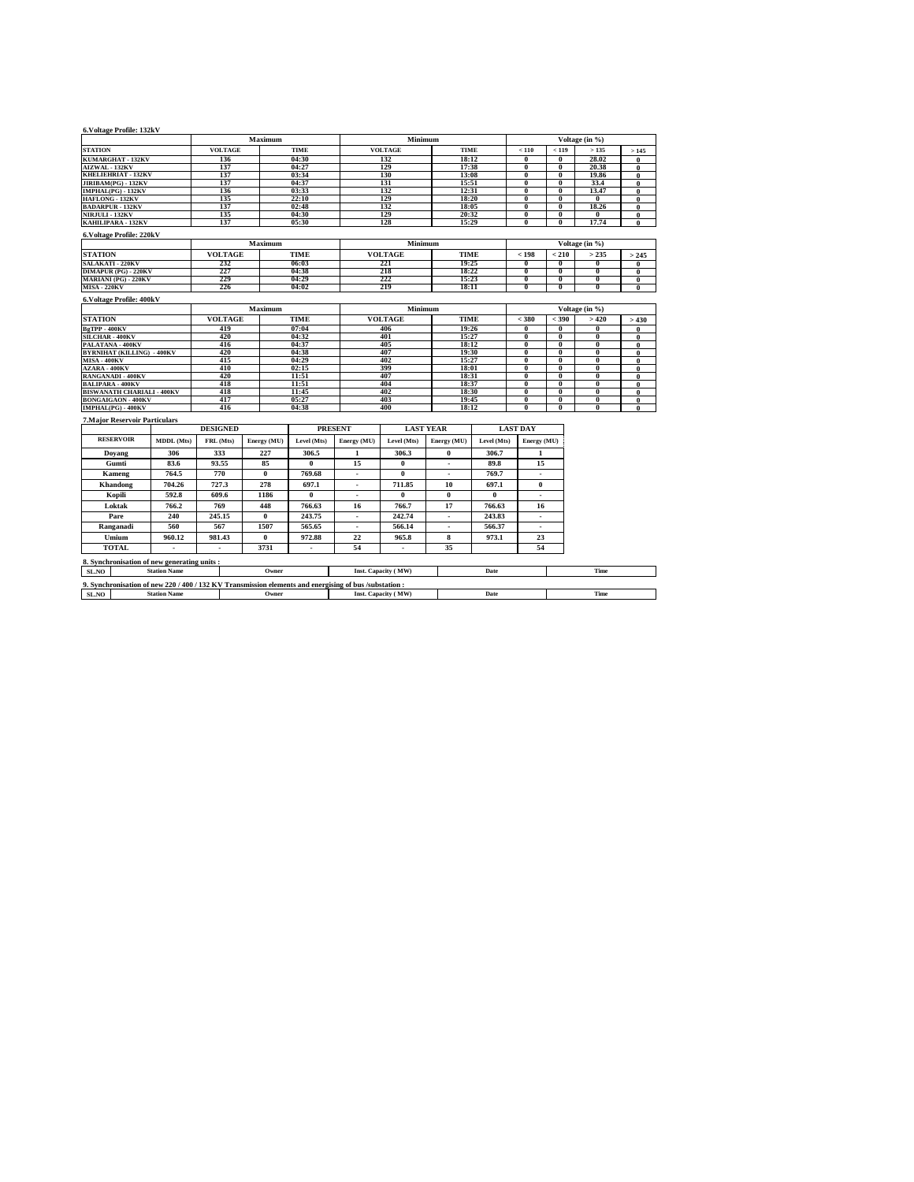| 6. Voltage Profile: 132kV                                                                              |                                          |                 |                |                          |                          |                          |                  |                |                                           |                      |                                           |                      |  |
|--------------------------------------------------------------------------------------------------------|------------------------------------------|-----------------|----------------|--------------------------|--------------------------|--------------------------|------------------|----------------|-------------------------------------------|----------------------|-------------------------------------------|----------------------|--|
|                                                                                                        |                                          |                 | Maximum        |                          |                          | Minimum                  |                  |                |                                           |                      | Voltage (in %)                            |                      |  |
| <b>STATION</b>                                                                                         |                                          | <b>VOLTAGE</b>  |                | <b>TIME</b>              |                          | <b>VOLTAGE</b>           | <b>TIME</b>      |                | < 110                                     | < 119                | >135                                      | >145                 |  |
| KUMARGHAT - 132KV                                                                                      |                                          | 136             |                | 04:30                    |                          | 132                      | 18:12            |                | $\overline{0}$                            | 0                    | 28.02                                     | $\bf{0}$             |  |
| AIZWAL - 132KV                                                                                         |                                          | 137             |                | 04:27                    |                          | 129                      |                  | 17:38          | $\overline{\mathbf{0}}$                   | $\mathbf{0}$         | 20.38                                     | $\mathbf{0}$         |  |
| KHELIEHRIAT - 132KV                                                                                    |                                          | 137             |                | 03:34                    |                          | 130                      |                  | 13:08          | $\overline{0}$                            | $\overline{0}$       | 19.86                                     | $\theta$             |  |
| JIRIBAM(PG) - 132KV                                                                                    |                                          | 137             |                | 04:37                    |                          | 131                      | 15:51            |                | $\bf{0}$                                  | $\bf{0}$             | 33.4                                      | $\mathbf{0}$         |  |
| IMPHAL(PG) - 132KV                                                                                     |                                          | 136             |                | 03:33                    |                          | 132                      | 12:31            |                | $\overline{0}$                            | $\overline{0}$       | 13.47                                     | $\bf{0}$             |  |
| HAFLONG - 132KV<br><b>BADARPUR - 132KV</b>                                                             |                                          | 135<br>137      |                | 22:10<br>02:48           |                          | 129<br>132               | 18:20<br>18:05   |                | $\overline{\mathbf{0}}$<br>$\overline{0}$ | $\overline{0}$<br>0  | $\bf{0}$<br>18.26                         | $\bf{0}$<br>$\bf{0}$ |  |
| <b>NIRJULI - 132KV</b>                                                                                 |                                          | 135             |                | 04:30                    |                          | 129                      | 20:32            |                | $\overline{0}$                            | 0                    | $\mathbf{0}$                              | $\bf{0}$             |  |
| KAHILIPARA - 132KV                                                                                     | 137<br>05:30                             |                 |                |                          |                          | 128                      | 15:29            |                | $\overline{0}$                            | $\bf{0}$             | 17.74                                     | $\mathbf{0}$         |  |
| 6. Voltage Profile: 220kV                                                                              |                                          |                 |                |                          |                          |                          |                  |                |                                           |                      |                                           |                      |  |
|                                                                                                        |                                          |                 | Maximum        |                          |                          | Minimum                  |                  |                |                                           |                      | Voltage (in %)                            |                      |  |
| <b>STATION</b>                                                                                         |                                          | <b>VOLTAGE</b>  |                | <b>TIME</b>              |                          | <b>VOLTAGE</b>           | <b>TIME</b>      |                | < 198                                     | $210$                | > 235                                     | > 245                |  |
| <b>SALAKATI - 220KV</b>                                                                                |                                          | 232             |                | 06:03                    |                          | 221                      | 19:25            |                | $\overline{0}$                            | $\bf{0}$             | $\bf{0}$                                  | $\bf{0}$             |  |
| <b>DIMAPUR (PG) - 220KV</b>                                                                            |                                          | 227             |                | 04:38                    |                          | 218                      | 18:22            |                | $\overline{\mathbf{0}}$                   | $\overline{0}$       | $\overline{0}$                            | $\bf{0}$             |  |
| MARIANI (PG) - 220KV<br><b>MISA - 220KV</b>                                                            |                                          | 229             |                | 04:29                    |                          | 222                      | 15:23            |                | $\overline{\mathbf{0}}$<br>$\overline{0}$ | $\bf{0}$             | $\overline{0}$                            | $\bf{0}$             |  |
|                                                                                                        |                                          | 226             |                | 04:02                    |                          | 219                      | 18:11            |                |                                           | $\overline{0}$       | $\overline{\mathbf{0}}$                   | $\mathbf{0}$         |  |
| 6. Voltage Profile: 400kV                                                                              |                                          |                 | Maximum        |                          |                          | Minimum                  |                  |                |                                           |                      | Voltage (in %)                            |                      |  |
| <b>STATION</b>                                                                                         |                                          | <b>VOLTAGE</b>  |                | <b>TIME</b>              |                          | <b>VOLTAGE</b>           | <b>TIME</b>      |                | $<$ 380<br>$<$ 390                        |                      | >420                                      | >430                 |  |
| BgTPP-400KV                                                                                            |                                          | 419             |                | 07:04                    |                          | 406                      | 19:26            |                | $\overline{0}$                            | $\overline{0}$       | $\overline{\mathbf{0}}$                   | $\bf{0}$             |  |
| SILCHAR - 400KV                                                                                        |                                          | 420             |                | 04:32                    |                          | 401                      | 15:27            |                | $\overline{\mathbf{0}}$                   | 0                    | $\overline{0}$                            | $\bf{0}$             |  |
| PALATANA - 400KV                                                                                       | 416                                      |                 |                | 04:37                    |                          | 405                      |                  | 18:12          |                                           | $\overline{0}$       | $\overline{0}$                            | $\bf{0}$             |  |
|                                                                                                        | <b>BYRNIHAT (KILLING) - 400KV</b><br>420 |                 |                | 04:38                    |                          | 407                      | 19:30            |                | $\bf{0}$                                  | $\bf{0}$             | 0                                         | $\mathbf{0}$         |  |
| <b>MISA - 400KV</b>                                                                                    | 415                                      |                 |                | 04:29                    |                          | 402                      | 15:27            |                | $\overline{0}$                            | $\bf{0}$             | $\overline{0}$                            | $\mathbf{0}$         |  |
| <b>AZARA - 400KV</b>                                                                                   |                                          | 410             | 02:15          |                          |                          | 399                      | 18:01            |                | $\overline{\mathbf{0}}$                   | $\overline{0}$       | $\overline{\mathbf{0}}$                   | $\bf{0}$             |  |
| RANGANADI - 400KV                                                                                      |                                          | 420             | 11:51<br>11:51 |                          |                          | 407                      |                  | 18:31          | $\bf{0}$                                  | $\bf{0}$             | $\bf{0}$                                  | $\bf{0}$             |  |
| <b>BALIPARA - 400KV</b>                                                                                |                                          |                 | 418            |                          |                          | 404                      |                  | 18:37          | $\bf{0}$                                  | $\bf{0}$             | $\bf{0}$                                  | $\bf{0}$             |  |
| <b>BISWANATH CHARIALI - 400KV</b><br><b>BONGAIGAON - 400KV</b>                                         |                                          | 417             | 418            |                          |                          | 402<br>403               |                  | 18:30<br>19:45 | $\overline{0}$<br>$\overline{0}$          | $\bf{0}$<br>$\bf{0}$ | $\overline{0}$<br>$\overline{\mathbf{0}}$ | $\bf{0}$<br>$\bf{0}$ |  |
| IMPHAL(PG) - 400KV                                                                                     |                                          | 416             |                | 05:27<br>04:38           |                          | 400                      |                  | 18:12          | $\overline{0}$                            | $\bf{0}$             | $\overline{0}$                            | $\mathbf{0}$         |  |
| <b>7. Major Reservoir Particulars</b>                                                                  |                                          |                 |                |                          |                          |                          |                  |                |                                           |                      |                                           |                      |  |
|                                                                                                        |                                          | <b>DESIGNED</b> |                |                          | <b>PRESENT</b>           |                          | <b>LAST YEAR</b> |                | <b>LAST DAY</b>                           |                      |                                           |                      |  |
| <b>RESERVOIR</b>                                                                                       | MDDL (Mts)                               | FRL (Mts)       | Energy (MU)    | Level (Mts)              | Energy (MU)              | Level (Mts)              | Energy (MU)      | Level (Mts)    | Energy (MU)                               |                      |                                           |                      |  |
| Doyang                                                                                                 | 306                                      | 333             | 227            | 306.5                    | 1                        | 306.3                    | $\bf{0}$         | 306.7          | 1                                         |                      |                                           |                      |  |
| Gumti                                                                                                  | 83.6                                     | 93.55           | 85             | $\theta$                 | 15                       | $\mathbf{0}$             | ٠                | 89.8           | 15                                        |                      |                                           |                      |  |
| Kameng                                                                                                 | 764.5                                    | 770             | $\bf{0}$       | 769.68                   | $\overline{\phantom{a}}$ | 0                        | ٠                | 769.7          | ٠                                         |                      |                                           |                      |  |
| Khandong                                                                                               | 704.26                                   | 727.3           | 278            | 697.1                    | ×.                       | 711.85                   | 10               | 697.1          | 0                                         |                      |                                           |                      |  |
| Kopili                                                                                                 | 592.8                                    | 609.6           | 1186           | $\bf{0}$                 | ÷                        | 0                        | $\bf{0}$         | $\bf{0}$       | ×                                         |                      |                                           |                      |  |
| Loktak                                                                                                 | 766.2                                    | 769             | 448            | 766.63                   | 16                       | 766.7                    | 17               | 766.63         | 16                                        |                      |                                           |                      |  |
| Pare                                                                                                   | 240                                      | 245.15          | $\bf{0}$       | 243.75                   | $\overline{\phantom{a}}$ | 242.74                   | ä,               | 243.83         | ٠                                         |                      |                                           |                      |  |
| Ranganadi                                                                                              | 560                                      | 567             | 1507           | 565.65                   | $\overline{\phantom{a}}$ | 566.14                   | ٠                | 566.37         | ٠                                         |                      |                                           |                      |  |
| Umium                                                                                                  | 960.12                                   | 981.43          | $\bf{0}$       | 972.88                   | 22                       | 965.8                    | 8                | 973.1          | 23                                        |                      |                                           |                      |  |
| <b>TOTAL</b>                                                                                           | ٠                                        | $\mathbf{r}$    | 3731           | $\overline{\phantom{a}}$ | 54                       | $\overline{\phantom{a}}$ | 35               |                | 54                                        |                      |                                           |                      |  |
| 8. Synchronisation of new generating units:                                                            |                                          |                 |                |                          |                          |                          |                  |                |                                           |                      |                                           |                      |  |
| SL.NO                                                                                                  | <b>Station Name</b>                      |                 | Owner          |                          |                          | Inst. Capacity (MW)      |                  | Date           | Time                                      |                      |                                           |                      |  |
| 9. Synchronisation of new 220 / 400 / 132 KV Transmission elements and energising of bus /substation : |                                          |                 |                |                          |                          |                          |                  |                |                                           |                      |                                           |                      |  |
| SL.NO                                                                                                  | <b>Station Name</b>                      |                 | Owner          |                          |                          | Inst. Capacity (MW)      |                  | Date           |                                           |                      | Time                                      |                      |  |